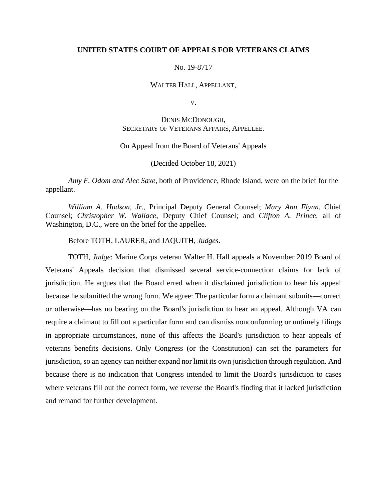## **UNITED STATES COURT OF APPEALS FOR VETERANS CLAIMS**

## No. 19-8717

#### WALTER HALL, APPELLANT,

V.

# DENIS MCDONOUGH, SECRETARY OF VETERANS AFFAIRS, APPELLEE.

## On Appeal from the Board of Veterans' Appeals

(Decided October 18, 2021)

*Amy F. Odom and Alec Saxe*, both of Providence, Rhode Island, were on the brief for the appellant.

*William A. Hudson, Jr.,* Principal Deputy General Counsel; *Mary Ann Flynn*, Chief Counsel; *Christopher W. Wallace*, Deputy Chief Counsel; and *Clifton A. Prince,* all of Washington, D.C., were on the brief for the appellee.

Before TOTH, LAURER, and JAQUITH, *Judges*.

TOTH, *Judge*: Marine Corps veteran Walter H. Hall appeals a November 2019 Board of Veterans' Appeals decision that dismissed several service-connection claims for lack of jurisdiction. He argues that the Board erred when it disclaimed jurisdiction to hear his appeal because he submitted the wrong form. We agree: The particular form a claimant submits—correct or otherwise—has no bearing on the Board's jurisdiction to hear an appeal. Although VA can require a claimant to fill out a particular form and can dismiss nonconforming or untimely filings in appropriate circumstances, none of this affects the Board's jurisdiction to hear appeals of veterans benefits decisions. Only Congress (or the Constitution) can set the parameters for jurisdiction, so an agency can neither expand nor limit its own jurisdiction through regulation. And because there is no indication that Congress intended to limit the Board's jurisdiction to cases where veterans fill out the correct form, we reverse the Board's finding that it lacked jurisdiction and remand for further development.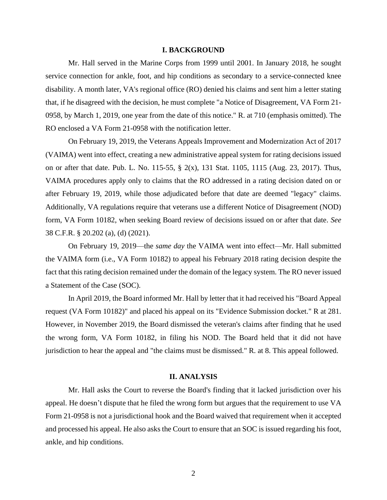#### **I. BACKGROUND**

Mr. Hall served in the Marine Corps from 1999 until 2001. In January 2018, he sought service connection for ankle, foot, and hip conditions as secondary to a service-connected knee disability. A month later, VA's regional office (RO) denied his claims and sent him a letter stating that, if he disagreed with the decision, he must complete "a Notice of Disagreement, VA Form 21- 0958, by March 1, 2019, one year from the date of this notice." R. at 710 (emphasis omitted). The RO enclosed a VA Form 21-0958 with the notification letter.

On February 19, 2019, the Veterans Appeals Improvement and Modernization Act of 2017 (VAIMA) went into effect, creating a new administrative appeal system for rating decisions issued on or after that date. Pub. L. No. 115-55, § 2(x), 131 Stat. 1105, 1115 (Aug. 23, 2017). Thus, VAIMA procedures apply only to claims that the RO addressed in a rating decision dated on or after February 19, 2019, while those adjudicated before that date are deemed "legacy" claims. Additionally, VA regulations require that veterans use a different Notice of Disagreement (NOD) form, VA Form 10182, when seeking Board review of decisions issued on or after that date. *See*  38 C.F.R. § 20.202 (a), (d) (2021).

On February 19, 2019—the *same day* the VAIMA went into effect—Mr. Hall submitted the VAIMA form (i.e., VA Form 10182) to appeal his February 2018 rating decision despite the fact that this rating decision remained under the domain of the legacy system. The RO never issued a Statement of the Case (SOC).

In April 2019, the Board informed Mr. Hall by letter that it had received his "Board Appeal request (VA Form 10182)" and placed his appeal on its "Evidence Submission docket." R at 281. However, in November 2019, the Board dismissed the veteran's claims after finding that he used the wrong form, VA Form 10182, in filing his NOD. The Board held that it did not have jurisdiction to hear the appeal and "the claims must be dismissed." R. at 8. This appeal followed.

#### **II. ANALYSIS**

Mr. Hall asks the Court to reverse the Board's finding that it lacked jurisdiction over his appeal. He doesn't dispute that he filed the wrong form but argues that the requirement to use VA Form 21-0958 is not a jurisdictional hook and the Board waived that requirement when it accepted and processed his appeal. He also asks the Court to ensure that an SOC is issued regarding his foot, ankle, and hip conditions.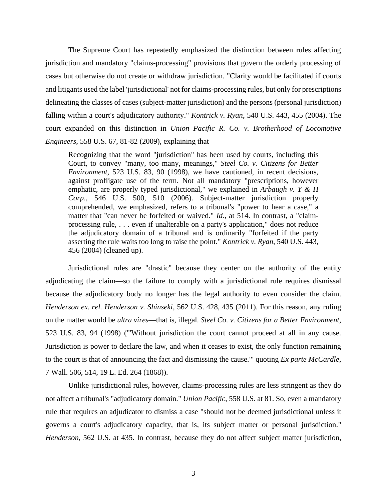The Supreme Court has repeatedly emphasized the distinction between rules affecting jurisdiction and mandatory "claims-processing" provisions that govern the orderly processing of cases but otherwise do not create or withdraw jurisdiction. "Clarity would be facilitated if courts and litigants used the label 'jurisdictional' not for claims-processing rules, but only for prescriptions delineating the classes of cases (subject-matter jurisdiction) and the persons (personal jurisdiction) falling within a court's adjudicatory authority." *Kontrick v. Ryan*, 540 U.S. 443, 455 (2004). The court expanded on this distinction in *Union Pacific R. Co. v. Brotherhood of Locomotive Engineers*, 558 U.S. 67, 81-82 (2009), explaining that

Recognizing that the word "jurisdiction" has been used by courts, including this Court, to convey "many, too many, meanings," *Steel Co. v. Citizens for Better Environment*, 523 U.S. 83, 90 (1998), we have cautioned, in recent decisions, against profligate use of the term. Not all mandatory "prescriptions, however emphatic, are properly typed jurisdictional," we explained in *Arbaugh v. Y & H Corp*., 546 U.S. 500, 510 (2006). Subject-matter jurisdiction properly comprehended, we emphasized, refers to a tribunal's "power to hear a case," a matter that "can never be forfeited or waived." *Id.*, at 514. In contrast, a "claimprocessing rule, . . . even if unalterable on a party's application," does not reduce the adjudicatory domain of a tribunal and is ordinarily "forfeited if the party asserting the rule waits too long to raise the point." *Kontrick v. Ryan*, 540 U.S. 443, 456 (2004) (cleaned up).

Jurisdictional rules are "drastic" because they center on the authority of the entity adjudicating the claim—so the failure to comply with a jurisdictional rule requires dismissal because the adjudicatory body no longer has the legal authority to even consider the claim. *Henderson ex. rel. Henderson v. Shinseki*, 562 U.S. 428, 435 (2011). For this reason, any ruling on the matter would be *ultra vires*—that is, illegal. *Steel Co. v. Citizens for a Better Environment*, 523 U.S. 83, 94 (1998) ("'Without jurisdiction the court cannot proceed at all in any cause. Jurisdiction is power to declare the law, and when it ceases to exist, the only function remaining to the court is that of announcing the fact and dismissing the cause.'" quoting *Ex parte McCardle*, 7 Wall. 506, 514, 19 L. Ed. 264 (1868)).

Unlike jurisdictional rules, however, claims-processing rules are less stringent as they do not affect a tribunal's "adjudicatory domain." *Union Pacific*, 558 U.S. at 81. So, even a mandatory rule that requires an adjudicator to dismiss a case "should not be deemed jurisdictional unless it governs a court's adjudicatory capacity, that is, its subject matter or personal jurisdiction." *Henderson*, 562 U.S. at 435. In contrast, because they do not affect subject matter jurisdiction,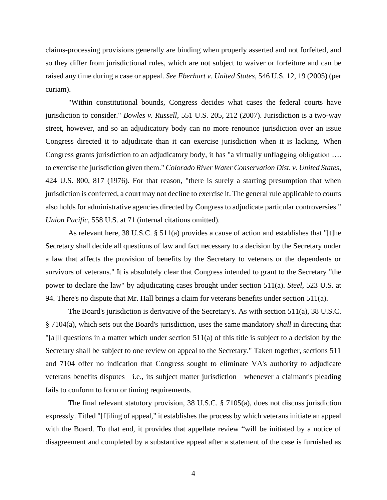claims-processing provisions generally are binding when properly asserted and not forfeited, and so they differ from jurisdictional rules, which are not subject to waiver or forfeiture and can be raised any time during a case or appeal. *See Eberhart v. United States*, 546 U.S. 12, 19 (2005) (per curiam).

"Within constitutional bounds, Congress decides what cases the federal courts have jurisdiction to consider." *Bowles v. Russell*, 551 U.S. 205, 212 (2007). Jurisdiction is a two-way street, however, and so an adjudicatory body can no more renounce jurisdiction over an issue Congress directed it to adjudicate than it can exercise jurisdiction when it is lacking. When Congress grants jurisdiction to an adjudicatory body, it has "a virtually unflagging obligation …. to exercise the jurisdiction given them." *Colorado River Water Conservation Dist. v. United States*, 424 U.S. 800, 817 (1976). For that reason, "there is surely a starting presumption that when jurisdiction is conferred, a court may not decline to exercise it. The general rule applicable to courts also holds for administrative agencies directed by Congress to adjudicate particular controversies." *Union Pacific*, 558 U.S. at 71 (internal citations omitted).

As relevant here, 38 U.S.C. § 511(a) provides a cause of action and establishes that "[t]he Secretary shall decide all questions of law and fact necessary to a decision by the Secretary under a law that affects the provision of benefits by the Secretary to veterans or the dependents or survivors of veterans." It is absolutely clear that Congress intended to grant to the Secretary "the power to declare the law" by adjudicating cases brought under section 511(a). *Steel*, 523 U.S. at 94. There's no dispute that Mr. Hall brings a claim for veterans benefits under section 511(a).

The Board's jurisdiction is derivative of the Secretary's. As with section 511(a), 38 U.S.C. § 7104(a), which sets out the Board's jurisdiction, uses the same mandatory *shall* in directing that "[a]ll questions in a matter which under section 511(a) of this title is subject to a decision by the Secretary shall be subject to one review on appeal to the Secretary." Taken together, sections 511 and 7104 offer no indication that Congress sought to eliminate VA's authority to adjudicate veterans benefits disputes—i.e., its subject matter jurisdiction—whenever a claimant's pleading fails to conform to form or timing requirements.

The final relevant statutory provision, 38 U.S.C. § 7105(a), does not discuss jurisdiction expressly. Titled "[f]iling of appeal," it establishes the process by which veterans initiate an appeal with the Board. To that end, it provides that appellate review "will be initiated by a notice of disagreement and completed by a substantive appeal after a statement of the case is furnished as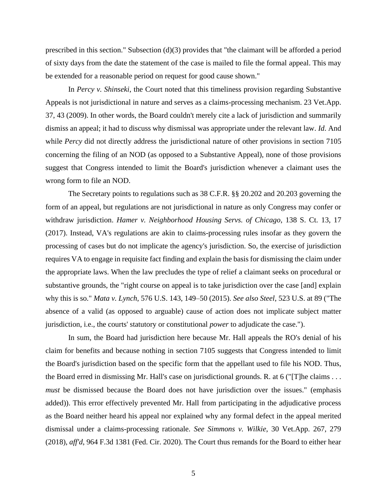prescribed in this section." Subsection (d)(3) provides that "the claimant will be afforded a period of sixty days from the date the statement of the case is mailed to file the formal appeal. This may be extended for a reasonable period on request for good cause shown."

In *Percy v. Shinseki*, the Court noted that this timeliness provision regarding Substantive Appeals is not jurisdictional in nature and serves as a claims-processing mechanism. 23 Vet.App. 37, 43 (2009). In other words, the Board couldn't merely cite a lack of jurisdiction and summarily dismiss an appeal; it had to discuss why dismissal was appropriate under the relevant law. *Id*. And while *Percy* did not directly address the jurisdictional nature of other provisions in section 7105 concerning the filing of an NOD (as opposed to a Substantive Appeal), none of those provisions suggest that Congress intended to limit the Board's jurisdiction whenever a claimant uses the wrong form to file an NOD.

The Secretary points to regulations such as 38 C.F.R. §§ 20.202 and 20.203 governing the form of an appeal, but regulations are not jurisdictional in nature as only Congress may confer or withdraw jurisdiction. *Hamer v. Neighborhood Housing Servs. of Chicago*, 138 S. Ct. 13, 17 (2017). Instead, VA's regulations are akin to claims-processing rules insofar as they govern the processing of cases but do not implicate the agency's jurisdiction. So, the exercise of jurisdiction requires VA to engage in requisite fact finding and explain the basis for dismissing the claim under the appropriate laws. When the law precludes the type of relief a claimant seeks on procedural or substantive grounds, the "right course on appeal is to take jurisdiction over the case [and] explain why this is so." *Mata v. Lynch*, 576 U.S. 143, 149–50 (2015). *See also Steel*, 523 U.S. at 89 ("The absence of a valid (as opposed to arguable) cause of action does not implicate subject matter jurisdiction, i.e., the courts' statutory or constitutional *power* to adjudicate the case.").

In sum, the Board had jurisdiction here because Mr. Hall appeals the RO's denial of his claim for benefits and because nothing in section 7105 suggests that Congress intended to limit the Board's jurisdiction based on the specific form that the appellant used to file his NOD. Thus, the Board erred in dismissing Mr. Hall's case on jurisdictional grounds. R. at 6 ("[T]he claims . . . *must* be dismissed because the Board does not have jurisdiction over the issues." (emphasis added)). This error effectively prevented Mr. Hall from participating in the adjudicative process as the Board neither heard his appeal nor explained why any formal defect in the appeal merited dismissal under a claims-processing rationale. *See Simmons v. Wilkie*, 30 Vet.App. 267, 279 (2018), *aff'd*, 964 F.3d 1381 (Fed. Cir. 2020). The Court thus remands for the Board to either hear